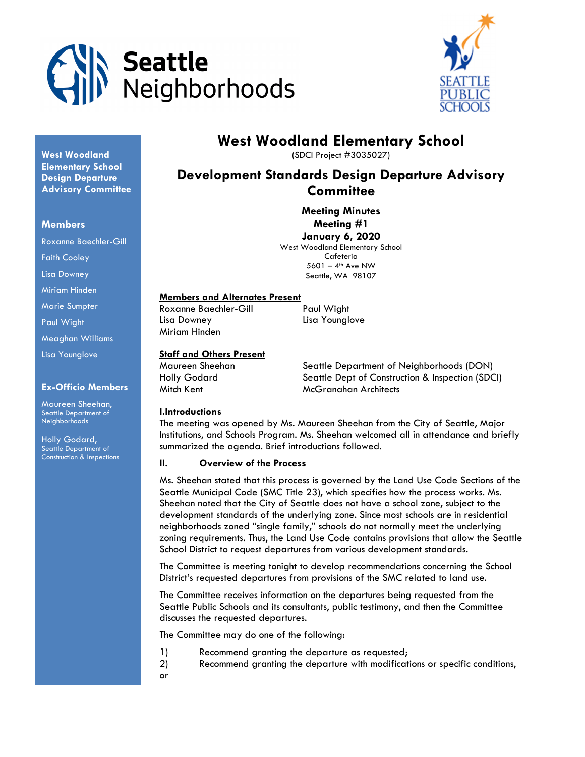



# West Woodland Elementary School

(SDCI Project #3035027)

# Development Standards Design Departure Advisory **Committee**

Meeting Minutes Meeting #1 January 6, 2020 West Woodland Elementary School

Cafeteria  $5601 - 4$ <sup>th</sup> Ave NW Seattle, WA 98107

# Members and Alternates Present

Roxanne Baechler-Gill Paul Wight Lisa Downey Lisa Younglove Miriam Hinden

# Staff and Others Present

Maureen Sheehan Seattle Department of Neighborhoods (DON) Holly Godard Seattle Dept of Construction & Inspection (SDCI) Mitch Kent McGranahan Architects

# I.Introductions

The meeting was opened by Ms. Maureen Sheehan from the City of Seattle, Major Institutions, and Schools Program. Ms. Sheehan welcomed all in attendance and briefly summarized the agenda. Brief introductions followed.

# II. Overview of the Process

Ms. Sheehan stated that this process is governed by the Land Use Code Sections of the Seattle Municipal Code (SMC Title 23), which specifies how the process works. Ms. Sheehan noted that the City of Seattle does not have a school zone, subject to the development standards of the underlying zone. Since most schools are in residential neighborhoods zoned "single family," schools do not normally meet the underlying zoning requirements. Thus, the Land Use Code contains provisions that allow the Seattle School District to request departures from various development standards.

The Committee is meeting tonight to develop recommendations concerning the School District's requested departures from provisions of the SMC related to land use.

The Committee receives information on the departures being requested from the Seattle Public Schools and its consultants, public testimony, and then the Committee discusses the requested departures.

The Committee may do one of the following:

- 1) Recommend granting the departure as requested;
- 2) Recommend granting the departure with modifications or specific conditions,
- or

West Woodland Elementary School Design Departure **Advisory Committee** 

## Members

Roxanne Baechler-Gill

Faith Cooley

Lisa Downey

Miriam Hinden

Marie Sumpter

Paul Wight

Meaghan Williams

Lisa Younglove

# Ex-Officio Members

Maureen Sheehan, Seattle Department of Neighborhoods

Holly Godard, Seattle Department of Construction & Inspections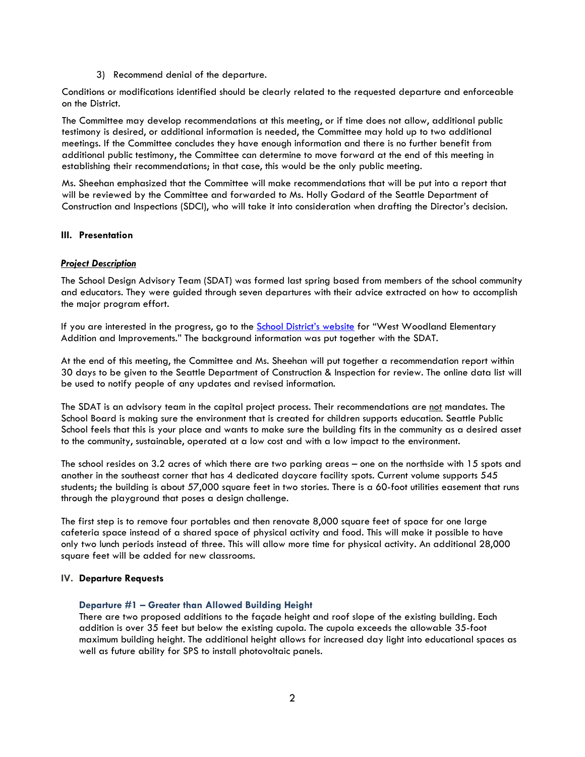3) Recommend denial of the departure.

Conditions or modifications identified should be clearly related to the requested departure and enforceable on the District.

The Committee may develop recommendations at this meeting, or if time does not allow, additional public testimony is desired, or additional information is needed, the Committee may hold up to two additional meetings. If the Committee concludes they have enough information and there is no further benefit from additional public testimony, the Committee can determine to move forward at the end of this meeting in establishing their recommendations; in that case, this would be the only public meeting.

Ms. Sheehan emphasized that the Committee will make recommendations that will be put into a report that will be reviewed by the Committee and forwarded to Ms. Holly Godard of the Seattle Department of Construction and Inspections (SDCI), who will take it into consideration when drafting the Director's decision.

# III. Presentation

# **Project Description**

The School Design Advisory Team (SDAT) was formed last spring based from members of the school community and educators. They were guided through seven departures with their advice extracted on how to accomplish the major program effort.

If you are interested in the progress, go to the **School District's website** for "West Woodland Elementary Addition and Improvements." The background information was put together with the SDAT.

At the end of this meeting, the Committee and Ms. Sheehan will put together a recommendation report within 30 days to be given to the Seattle Department of Construction & Inspection for review. The online data list will be used to notify people of any updates and revised information.

The SDAT is an advisory team in the capital project process. Their recommendations are not mandates. The School Board is making sure the environment that is created for children supports education. Seattle Public School feels that this is your place and wants to make sure the building fits in the community as a desired asset to the community, sustainable, operated at a low cost and with a low impact to the environment.

The school resides on 3.2 acres of which there are two parking areas – one on the northside with 15 spots and another in the southeast corner that has 4 dedicated daycare facility spots. Current volume supports 545 students; the building is about 57,000 square feet in two stories. There is a 60-foot utilities easement that runs through the playground that poses a design challenge.

The first step is to remove four portables and then renovate 8,000 square feet of space for one large cafeteria space instead of a shared space of physical activity and food. This will make it possible to have only two lunch periods instead of three. This will allow more time for physical activity. An additional 28,000 square feet will be added for new classrooms.

#### IV. Departure Requests

#### Departure #1 – Greater than Allowed Building Height

There are two proposed additions to the façade height and roof slope of the existing building. Each addition is over 35 feet but below the existing cupola. The cupola exceeds the allowable 35-foot maximum building height. The additional height allows for increased day light into educational spaces as well as future ability for SPS to install photovoltaic panels.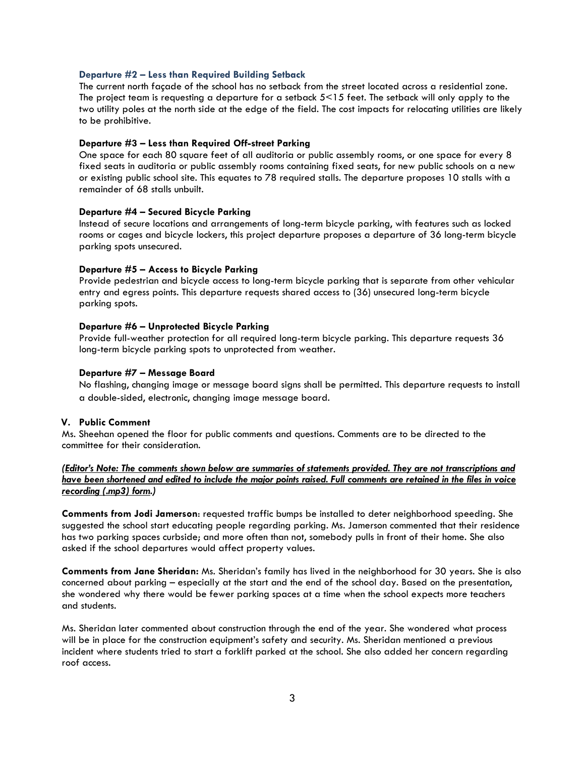#### Departure #2 – Less than Required Building Setback

The current north façade of the school has no setback from the street located across a residential zone. The project team is requesting a departure for a setback 5<15 feet. The setback will only apply to the two utility poles at the north side at the edge of the field. The cost impacts for relocating utilities are likely to be prohibitive.

#### Departure #3 – Less than Required Off-street Parking

One space for each 80 square feet of all auditoria or public assembly rooms, or one space for every 8 fixed seats in auditoria or public assembly rooms containing fixed seats, for new public schools on a new or existing public school site. This equates to 78 required stalls. The departure proposes 10 stalls with a remainder of 68 stalls unbuilt.

#### Departure #4 – Secured Bicycle Parking

Instead of secure locations and arrangements of long-term bicycle parking, with features such as locked rooms or cages and bicycle lockers, this project departure proposes a departure of 36 long-term bicycle parking spots unsecured.

#### Departure #5 – Access to Bicycle Parking

Provide pedestrian and bicycle access to long-term bicycle parking that is separate from other vehicular entry and egress points. This departure requests shared access to (36) unsecured long-term bicycle parking spots.

#### Departure #6 – Unprotected Bicycle Parking

Provide full-weather protection for all required long-term bicycle parking. This departure requests 36 long-term bicycle parking spots to unprotected from weather.

#### Departure #7 – Message Board

No flashing, changing image or message board signs shall be permitted. This departure requests to install a double-sided, electronic, changing image message board.

#### V. Public Comment

Ms. Sheehan opened the floor for public comments and questions. Comments are to be directed to the committee for their consideration.

(Editor's Note: The comments shown below are summaries of statements provided. They are not transcriptions and have been shortened and edited to include the major points raised. Full comments are retained in the files in voice recording (.mp3) form.)

Comments from Jodi Jamerson: requested traffic bumps be installed to deter neighborhood speeding. She suggested the school start educating people regarding parking. Ms. Jamerson commented that their residence has two parking spaces curbside; and more often than not, somebody pulls in front of their home. She also asked if the school departures would affect property values.

Comments from Jane Sheridan: Ms. Sheridan's family has lived in the neighborhood for 30 years. She is also concerned about parking – especially at the start and the end of the school day. Based on the presentation, she wondered why there would be fewer parking spaces at a time when the school expects more teachers and students.

Ms. Sheridan later commented about construction through the end of the year. She wondered what process will be in place for the construction equipment's safety and security. Ms. Sheridan mentioned a previous incident where students tried to start a forklift parked at the school. She also added her concern regarding roof access.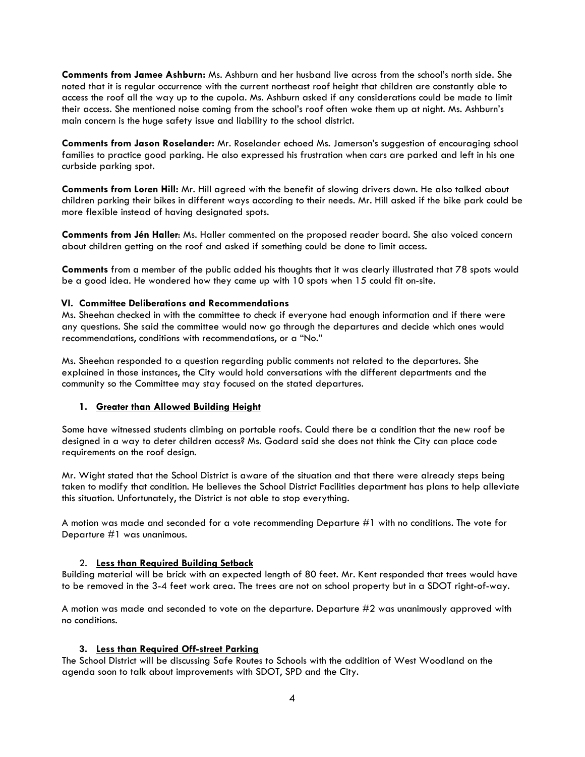Comments from Jamee Ashburn: Ms. Ashburn and her husband live across from the school's north side. She noted that it is regular occurrence with the current northeast roof height that children are constantly able to access the roof all the way up to the cupola. Ms. Ashburn asked if any considerations could be made to limit their access. She mentioned noise coming from the school's roof often woke them up at night. Ms. Ashburn's main concern is the huge safety issue and liability to the school district.

Comments from Jason Roselander: Mr. Roselander echoed Ms. Jamerson's suggestion of encouraging school families to practice good parking. He also expressed his frustration when cars are parked and left in his one curbside parking spot.

Comments from Loren Hill: Mr. Hill agreed with the benefit of slowing drivers down. He also talked about children parking their bikes in different ways according to their needs. Mr. Hill asked if the bike park could be more flexible instead of having designated spots.

Comments from Jén Haller: Ms. Haller commented on the proposed reader board. She also voiced concern about children getting on the roof and asked if something could be done to limit access.

Comments from a member of the public added his thoughts that it was clearly illustrated that 78 spots would be a good idea. He wondered how they came up with 10 spots when 15 could fit on-site.

## VI. Committee Deliberations and Recommendations

Ms. Sheehan checked in with the committee to check if everyone had enough information and if there were any questions. She said the committee would now go through the departures and decide which ones would recommendations, conditions with recommendations, or a "No."

Ms. Sheehan responded to a question regarding public comments not related to the departures. She explained in those instances, the City would hold conversations with the different departments and the community so the Committee may stay focused on the stated departures.

# 1. Greater than Allowed Building Height

Some have witnessed students climbing on portable roofs. Could there be a condition that the new roof be designed in a way to deter children access? Ms. Godard said she does not think the City can place code requirements on the roof design.

Mr. Wight stated that the School District is aware of the situation and that there were already steps being taken to modify that condition. He believes the School District Facilities department has plans to help alleviate this situation. Unfortunately, the District is not able to stop everything.

A motion was made and seconded for a vote recommending Departure #1 with no conditions. The vote for Departure #1 was unanimous.

# 2. Less than Required Building Setback

Building material will be brick with an expected length of 80 feet. Mr. Kent responded that trees would have to be removed in the 3-4 feet work area. The trees are not on school property but in a SDOT right-of-way.

A motion was made and seconded to vote on the departure. Departure #2 was unanimously approved with no conditions.

# 3. Less than Required Off-street Parking

The School District will be discussing Safe Routes to Schools with the addition of West Woodland on the agenda soon to talk about improvements with SDOT, SPD and the City.